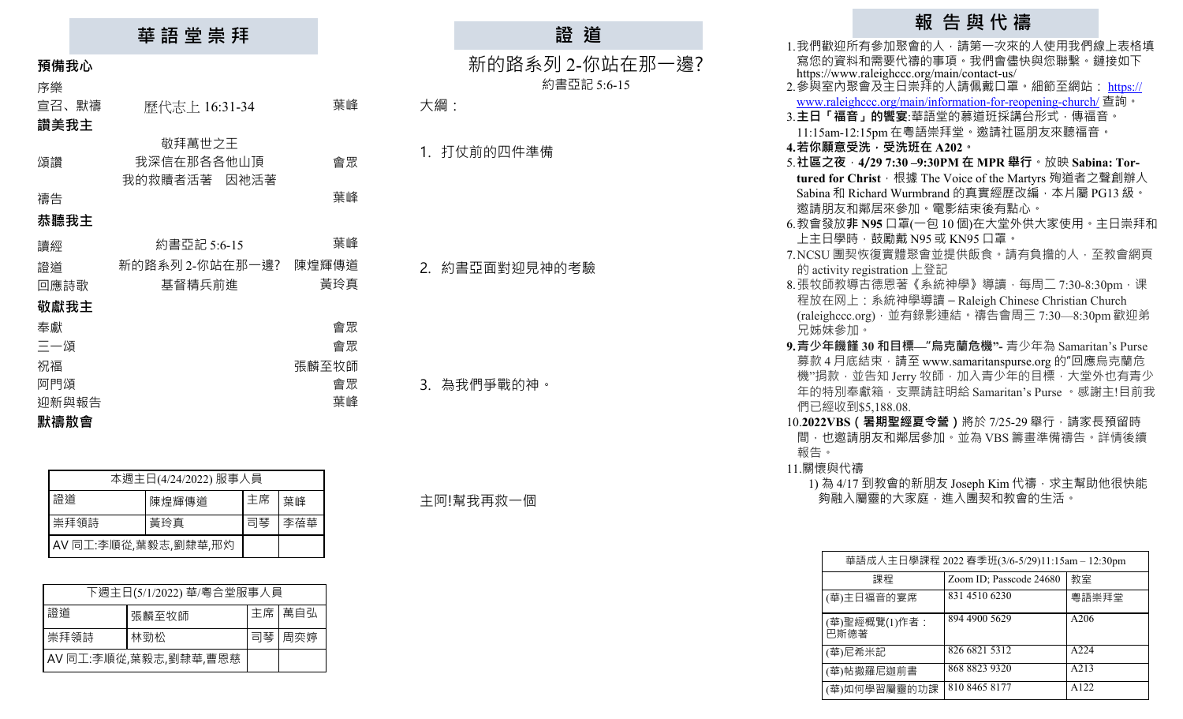|       | 華 語 堂 崇 拜       |       |                     | 證道              |  |
|-------|-----------------|-------|---------------------|-----------------|--|
| 預備我心  |                 |       |                     | 新的路系列 2-你站在那一邊? |  |
| 序樂    |                 |       |                     | 約書亞記 5:6-15     |  |
| 宣召、默禱 | 歷代志上 16:31-34   | 葉峰    | 大綱:                 |                 |  |
| 讚美我主  |                 |       |                     |                 |  |
|       | 敬拜萬世之王          |       | 打仗前的四件準備<br>$1_{-}$ |                 |  |
| 頌讚    | 我深信在那各各他山頂      | 會眾    |                     |                 |  |
|       | 我的救贖者活著<br>因祂活著 |       |                     |                 |  |
| 禱告    |                 | 葉峰    |                     |                 |  |
| 恭聽我主  |                 |       |                     |                 |  |
| 讀經    | 約書亞記 5:6-15     | 葉峰    |                     |                 |  |
| 證道    | 新的路系列 2-你站在那一邊? | 陳煌輝傳道 | 2. 約書亞面對迎見神的考驗      |                 |  |
| 回應詩歌  | 基督精兵前進          | 黃玲真   |                     |                 |  |
| 敬獻我主  |                 |       |                     |                 |  |
| 奉獻    |                 | 會眾    |                     |                 |  |
| 三一頌   |                 | 會眾    |                     |                 |  |
| 祝福    |                 | 張麟至牧師 |                     |                 |  |
| 阿門頌   |                 | 會眾    | 3. 為我們爭戰的神。         |                 |  |
| 迎新與報告 |                 | 葉峰    |                     |                 |  |
| 默禱散會  |                 |       |                     |                 |  |

| 本週主日(4/24/2022) 服事人員 |       |    |     |  |
|----------------------|-------|----|-----|--|
| 證道                   | 陳煌輝傳道 | 主席 | 葉峰  |  |
| 崇拜領詩                 | 黃玲真   | 司琴 | 李蓓華 |  |
| AV 同工:李順從,葉毅志,劉隸華,邢灼 |       |    |     |  |

| 下週主日(5/1/2022) 華/粵合堂服事人員 |       |  |          |  |
|--------------------------|-------|--|----------|--|
| 證道                       | 張麟至牧師 |  | 主席 萬自弘   |  |
| 崇拜領詩                     | 林勁松   |  | 司琴   周奕婷 |  |
| AV同工:李順從,葉毅志,劉隸華,曹恩慈     |       |  |          |  |

主阿!幫我再救一個

# **報 告 與 代 禱**

|                  | 1.我們歡迎所有參加聚會的人,請第一次來的人使用我們線上表格填                                                                |  |  |
|------------------|------------------------------------------------------------------------------------------------|--|--|
|                  | 寫您的資料和需要代禱的事項。我們會儘快與您聯繫。鏈接如下                                                                   |  |  |
|                  | https://www.raleighccc.org/main/contact-us/<br>2.參與室內聚會及主日崇拜的人請佩戴口罩。細節至網站: <u>https://</u>     |  |  |
|                  |                                                                                                |  |  |
|                  | www.raleighccc.org/main/information-for-reopening-church/ 查詢。<br>3.主日「福音」的饗宴:華語堂的慕道班採講台形式,傳福音。 |  |  |
|                  | 11:15am-12:15pm 在粵語崇拜堂。邀請社區朋友來聽福音。                                                             |  |  |
|                  | 4.若你願意受洗,受洗班在 A202。                                                                            |  |  |
|                  | 5.社區之夜 · 4/29 7:30 -9:30PM 在 MPR 舉行 · 放映 Sabina: Tor-                                          |  |  |
|                  | tured for Christ · 根據 The Voice of the Martyrs 殉道者之聲創辦人                                        |  |  |
|                  | Sabina 和 Richard Wurmbrand 的真實經歷改編, 本片屬 PG13 級。                                                |  |  |
|                  | 邀請朋友和鄰居來參加。電影結束後有點心。                                                                           |  |  |
|                  | 6.教會發放非 N95 口罩(一包 10 個)在大堂外供大家使用。主日崇拜和                                                         |  |  |
|                  | 上主日學時,鼓勵戴 N95 或 KN95 口罩。                                                                       |  |  |
|                  | 7.NCSU 團契恢復實體聚會並提供飯食。請有負擔的人, 至教會網頁                                                             |  |  |
|                  | 的 activity registration 上登記                                                                    |  |  |
|                  | 8.張牧師教導古德恩著《系統神學》導讀,每周二 7:30-8:30pm, 课                                                         |  |  |
|                  | 程放在网上: 系統神學導讀 - Raleigh Chinese Christian Church                                               |  |  |
|                  | (raleighccc.org) · 並有錄影連結 · 禱告會周三 7:30—8:30pm 歡迎弟                                              |  |  |
| 兄姊妹參加。           |                                                                                                |  |  |
|                  | 9. 青少年饑饉 30 和目標—"烏克蘭危機"- 青少年為 Samaritan's Purse                                                |  |  |
|                  | 募款4月底結束,請至 www.samaritanspurse.org 的"回應烏克蘭危                                                    |  |  |
|                  | 機"捐款,並告知 Jerry 牧師, 加入青少年的目標, 大堂外也有青少                                                           |  |  |
|                  | 年的特別奉獻箱,支票請註明給 Samaritan's Purse,感謝主!目前我                                                       |  |  |
| 們已經收到\$5,188.08. |                                                                                                |  |  |
|                  | 10.2022VBS (暑期聖經夏令營)將於 7/25-29 舉行,請家長預留時                                                       |  |  |
| 報告。              | 間,也邀請朋友和鄰居參加。並為 VBS 籌畫準備禱告。詳情後續                                                                |  |  |
| 11.關懷與代禱         |                                                                                                |  |  |
|                  | 1) 為 4/17 到教會的新朋友 Joseph Kim 代禱 · 求主幫助他很快能                                                     |  |  |
|                  |                                                                                                |  |  |

。<br>钩融入屬靈的大家庭,進入團契和教會的生活。

| 華語成人主日學課程 2022 春季班(3/6-5/29)11:15am – 12:30pm |                         |       |  |  |  |
|-----------------------------------------------|-------------------------|-------|--|--|--|
| 課程                                            | Zoom ID; Passcode 24680 | 教室    |  |  |  |
| (華)主日福音的宴席                                    | 831 4510 6230           | 粵語崇拜堂 |  |  |  |
| (華)聖經概覽(1)作者:<br>巴斯德著                         | 894 4900 5629           | A206  |  |  |  |
| (華)尼希米記                                       | 826 6821 5312           | A224  |  |  |  |
| (華)帖撒羅尼迦前書                                    | 868 8823 9320           | A213  |  |  |  |
| (華)如何學習屬靈的功課                                  | 810 8465 8177           | A122  |  |  |  |